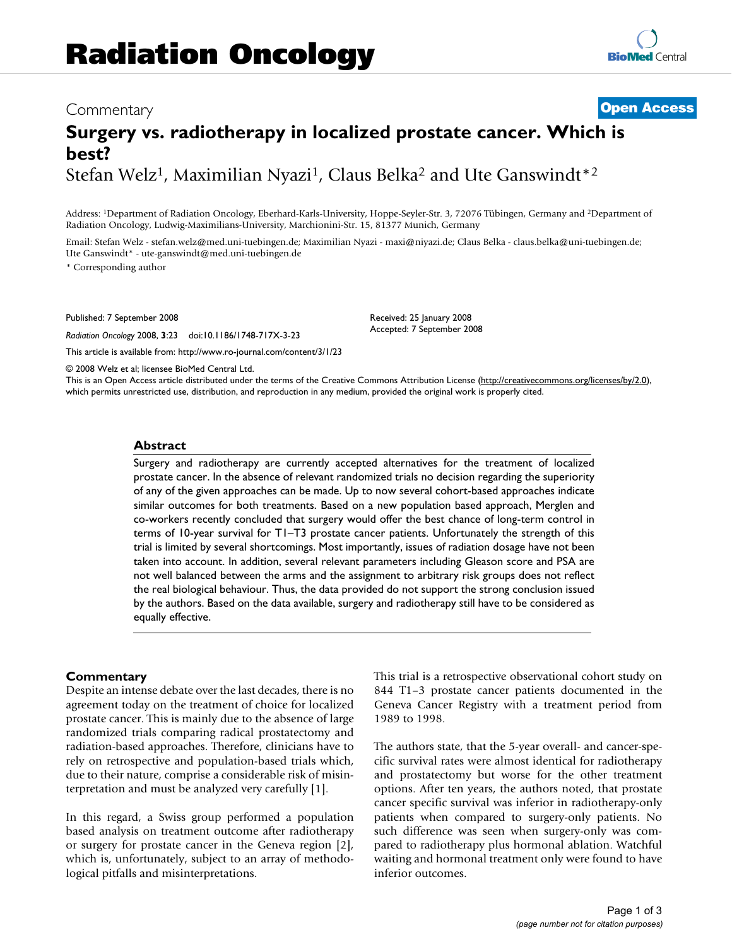# Commentary **[Open Access](http://www.biomedcentral.com/info/about/charter/)**

# **Surgery vs. radiotherapy in localized prostate cancer. Which is best?** Stefan Welz<sup>1</sup>, Maximilian Nyazi<sup>1</sup>, Claus Belka<sup>2</sup> and Ute Ganswindt<sup>\*2</sup>

Address: 1Department of Radiation Oncology, Eberhard-Karls-University, Hoppe-Seyler-Str. 3, 72076 Tübingen, Germany and 2Department of Radiation Oncology, Ludwig-Maximilians-University, Marchionini-Str. 15, 81377 Munich, Germany

Email: Stefan Welz - stefan.welz@med.uni-tuebingen.de; Maximilian Nyazi - maxi@niyazi.de; Claus Belka - claus.belka@uni-tuebingen.de; Ute Ganswindt\* - ute-ganswindt@med.uni-tuebingen.de

\* Corresponding author

Published: 7 September 2008

*Radiation Oncology* 2008, **3**:23 doi:10.1186/1748-717X-3-23

[This article is available from: http://www.ro-journal.com/content/3/1/23](http://www.ro-journal.com/content/3/1/23)

© 2008 Welz et al; licensee BioMed Central Ltd.

This is an Open Access article distributed under the terms of the Creative Commons Attribution License [\(http://creativecommons.org/licenses/by/2.0\)](http://creativecommons.org/licenses/by/2.0), which permits unrestricted use, distribution, and reproduction in any medium, provided the original work is properly cited.

Received: 25 January 2008 Accepted: 7 September 2008

#### **Abstract**

Surgery and radiotherapy are currently accepted alternatives for the treatment of localized prostate cancer. In the absence of relevant randomized trials no decision regarding the superiority of any of the given approaches can be made. Up to now several cohort-based approaches indicate similar outcomes for both treatments. Based on a new population based approach, Merglen and co-workers recently concluded that surgery would offer the best chance of long-term control in terms of 10-year survival for T1–T3 prostate cancer patients. Unfortunately the strength of this trial is limited by several shortcomings. Most importantly, issues of radiation dosage have not been taken into account. In addition, several relevant parameters including Gleason score and PSA are not well balanced between the arms and the assignment to arbitrary risk groups does not reflect the real biological behaviour. Thus, the data provided do not support the strong conclusion issued by the authors. Based on the data available, surgery and radiotherapy still have to be considered as equally effective.

#### **Commentary**

Despite an intense debate over the last decades, there is no agreement today on the treatment of choice for localized prostate cancer. This is mainly due to the absence of large randomized trials comparing radical prostatectomy and radiation-based approaches. Therefore, clinicians have to rely on retrospective and population-based trials which, due to their nature, comprise a considerable risk of misinterpretation and must be analyzed very carefully [1].

In this regard, a Swiss group performed a population based analysis on treatment outcome after radiotherapy or surgery for prostate cancer in the Geneva region [2], which is, unfortunately, subject to an array of methodological pitfalls and misinterpretations.

This trial is a retrospective observational cohort study on 844 T1–3 prostate cancer patients documented in the Geneva Cancer Registry with a treatment period from 1989 to 1998.

The authors state, that the 5-year overall- and cancer-specific survival rates were almost identical for radiotherapy and prostatectomy but worse for the other treatment options. After ten years, the authors noted, that prostate cancer specific survival was inferior in radiotherapy-only patients when compared to surgery-only patients. No such difference was seen when surgery-only was compared to radiotherapy plus hormonal ablation. Watchful waiting and hormonal treatment only were found to have inferior outcomes.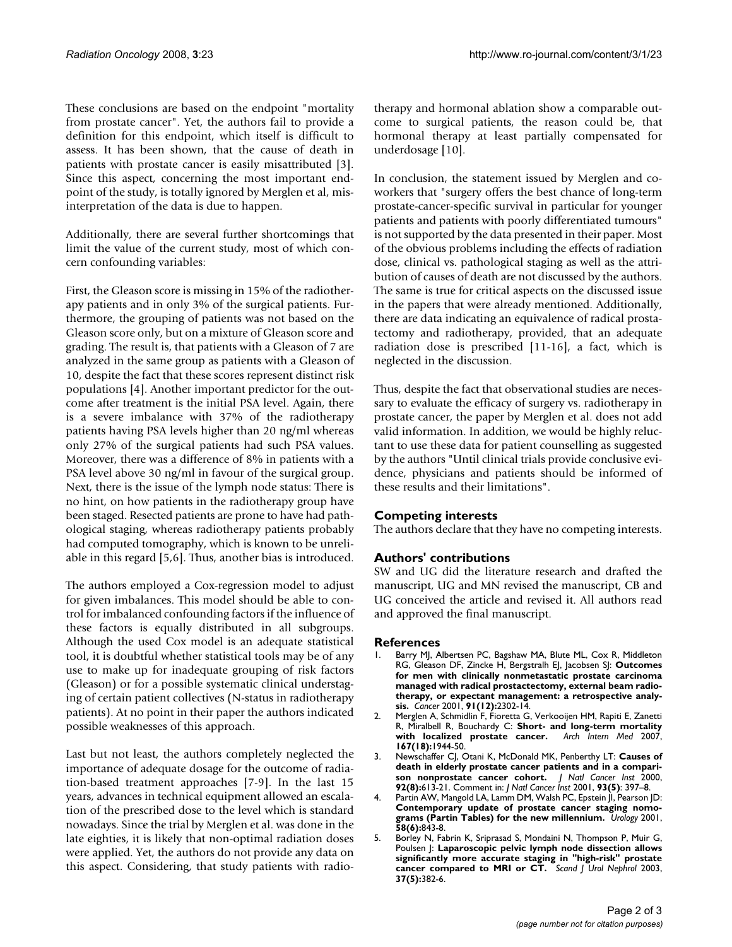These conclusions are based on the endpoint "mortality from prostate cancer". Yet, the authors fail to provide a definition for this endpoint, which itself is difficult to assess. It has been shown, that the cause of death in patients with prostate cancer is easily misattributed [3]. Since this aspect, concerning the most important endpoint of the study, is totally ignored by Merglen et al, misinterpretation of the data is due to happen.

Additionally, there are several further shortcomings that limit the value of the current study, most of which concern confounding variables:

First, the Gleason score is missing in 15% of the radiotherapy patients and in only 3% of the surgical patients. Furthermore, the grouping of patients was not based on the Gleason score only, but on a mixture of Gleason score and grading. The result is, that patients with a Gleason of 7 are analyzed in the same group as patients with a Gleason of 10, despite the fact that these scores represent distinct risk populations [4]. Another important predictor for the outcome after treatment is the initial PSA level. Again, there is a severe imbalance with 37% of the radiotherapy patients having PSA levels higher than 20 ng/ml whereas only 27% of the surgical patients had such PSA values. Moreover, there was a difference of 8% in patients with a PSA level above 30 ng/ml in favour of the surgical group. Next, there is the issue of the lymph node status: There is no hint, on how patients in the radiotherapy group have been staged. Resected patients are prone to have had pathological staging, whereas radiotherapy patients probably had computed tomography, which is known to be unreliable in this regard [5,6]. Thus, another bias is introduced.

The authors employed a Cox-regression model to adjust for given imbalances. This model should be able to control for imbalanced confounding factors if the influence of these factors is equally distributed in all subgroups. Although the used Cox model is an adequate statistical tool, it is doubtful whether statistical tools may be of any use to make up for inadequate grouping of risk factors (Gleason) or for a possible systematic clinical understaging of certain patient collectives (N-status in radiotherapy patients). At no point in their paper the authors indicated possible weaknesses of this approach.

Last but not least, the authors completely neglected the importance of adequate dosage for the outcome of radiation-based treatment approaches [7-9]. In the last 15 years, advances in technical equipment allowed an escalation of the prescribed dose to the level which is standard nowadays. Since the trial by Merglen et al. was done in the late eighties, it is likely that non-optimal radiation doses were applied. Yet, the authors do not provide any data on this aspect. Considering, that study patients with radiotherapy and hormonal ablation show a comparable outcome to surgical patients, the reason could be, that hormonal therapy at least partially compensated for underdosage [10].

In conclusion, the statement issued by Merglen and coworkers that "surgery offers the best chance of long-term prostate-cancer-specific survival in particular for younger patients and patients with poorly differentiated tumours" is not supported by the data presented in their paper. Most of the obvious problems including the effects of radiation dose, clinical vs. pathological staging as well as the attribution of causes of death are not discussed by the authors. The same is true for critical aspects on the discussed issue in the papers that were already mentioned. Additionally, there are data indicating an equivalence of radical prostatectomy and radiotherapy, provided, that an adequate radiation dose is prescribed [11-16], a fact, which is neglected in the discussion.

Thus, despite the fact that observational studies are necessary to evaluate the efficacy of surgery vs. radiotherapy in prostate cancer, the paper by Merglen et al. does not add valid information. In addition, we would be highly reluctant to use these data for patient counselling as suggested by the authors "Until clinical trials provide conclusive evidence, physicians and patients should be informed of these results and their limitations".

# **Competing interests**

The authors declare that they have no competing interests.

# **Authors' contributions**

SW and UG did the literature research and drafted the manuscript, UG and MN revised the manuscript, CB and UG conceived the article and revised it. All authors read and approved the final manuscript.

### **References**

- 1. Barry MJ, Albertsen PC, Bagshaw MA, Blute ML, Cox R, Middleton RG, Gleason DF, Zincke H, Bergstralh EJ, Jacobsen SJ: **[Outcomes](http://www.ncbi.nlm.nih.gov/entrez/query.fcgi?cmd=Retrieve&db=PubMed&dopt=Abstract&list_uids=11413519) [for men with clinically nonmetastatic prostate carcinoma](http://www.ncbi.nlm.nih.gov/entrez/query.fcgi?cmd=Retrieve&db=PubMed&dopt=Abstract&list_uids=11413519) managed with radical prostactectomy, external beam radiotherapy, or expectant management: a retrospective analy[sis.](http://www.ncbi.nlm.nih.gov/entrez/query.fcgi?cmd=Retrieve&db=PubMed&dopt=Abstract&list_uids=11413519)** *Cancer* 2001, **91(12):**2302-14.
- 2. Merglen A, Schmidlin F, Fioretta G, Verkooijen HM, Rapiti E, Zanetti R, Miralbell R, Bouchardy C: **[Short- and long-term mortality](http://www.ncbi.nlm.nih.gov/entrez/query.fcgi?cmd=Retrieve&db=PubMed&dopt=Abstract&list_uids=17923593)** [with localized prostate cancer.](http://www.ncbi.nlm.nih.gov/entrez/query.fcgi?cmd=Retrieve&db=PubMed&dopt=Abstract&list_uids=17923593) **167(18):**1944-50.
- 3. Newschaffer CJ, Otani K, McDonald MK, Penberthy LT: **[Causes of](http://www.ncbi.nlm.nih.gov/entrez/query.fcgi?cmd=Retrieve&db=PubMed&dopt=Abstract&list_uids=10772678) [death in elderly prostate cancer patients and in a compari](http://www.ncbi.nlm.nih.gov/entrez/query.fcgi?cmd=Retrieve&db=PubMed&dopt=Abstract&list_uids=10772678)[son nonprostate cancer cohort.](http://www.ncbi.nlm.nih.gov/entrez/query.fcgi?cmd=Retrieve&db=PubMed&dopt=Abstract&list_uids=10772678)** *J Natl Cancer Inst* 2000, **92(8):**613-21. Comment in: *J Natl Cancer Inst* 2001, **93(5)**: 397–8.
- Partin AW, Mangold LA, Lamm DM, Walsh PC, Epstein JI, Pearson JD: **[Contemporary update of prostate cancer staging nomo](http://www.ncbi.nlm.nih.gov/entrez/query.fcgi?cmd=Retrieve&db=PubMed&dopt=Abstract&list_uids=11744442)[grams \(Partin Tables\) for the new millennium.](http://www.ncbi.nlm.nih.gov/entrez/query.fcgi?cmd=Retrieve&db=PubMed&dopt=Abstract&list_uids=11744442)** *Urology* 2001, **58(6):**843-8.
- Borley N, Fabrin K, Sriprasad S, Mondaini N, Thompson P, Muir G, Poulsen J: **[Laparoscopic pelvic lymph node dissection allows](http://www.ncbi.nlm.nih.gov/entrez/query.fcgi?cmd=Retrieve&db=PubMed&dopt=Abstract&list_uids=14594685) [significantly more accurate staging in "high-risk" prostate](http://www.ncbi.nlm.nih.gov/entrez/query.fcgi?cmd=Retrieve&db=PubMed&dopt=Abstract&list_uids=14594685) [cancer compared to MRI or CT.](http://www.ncbi.nlm.nih.gov/entrez/query.fcgi?cmd=Retrieve&db=PubMed&dopt=Abstract&list_uids=14594685)** *Scand J Urol Nephrol* 2003, **37(5):**382-6.